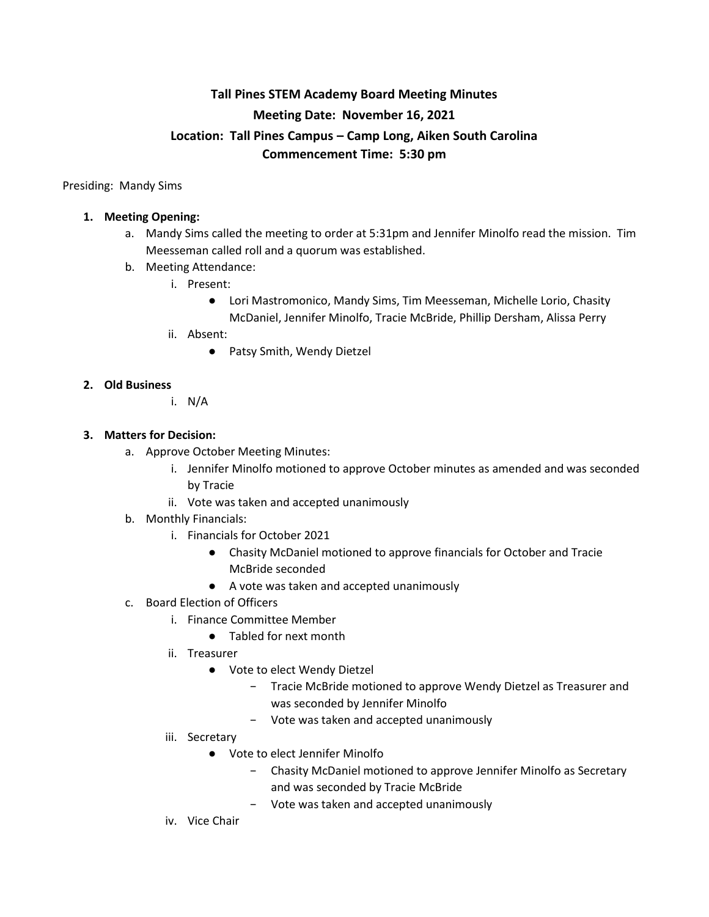# **Tall Pines STEM Academy Board Meeting Minutes Meeting Date: November 16, 2021 Location: Tall Pines Campus – Camp Long, Aiken South Carolina Commencement Time: 5:30 pm**

Presiding: Mandy Sims

# **1. Meeting Opening:**

- a. Mandy Sims called the meeting to order at 5:31pm and Jennifer Minolfo read the mission. Tim Meesseman called roll and a quorum was established.
- b. Meeting Attendance:
	- i. Present:
		- Lori Mastromonico, Mandy Sims, Tim Meesseman, Michelle Lorio, Chasity McDaniel, Jennifer Minolfo, Tracie McBride, Phillip Dersham, Alissa Perry
	- ii. Absent:
		- Patsy Smith, Wendy Dietzel

## **2. Old Business**

i. N/A

## **3. Matters for Decision:**

- a. Approve October Meeting Minutes:
	- i. Jennifer Minolfo motioned to approve October minutes as amended and was seconded by Tracie
	- ii. Vote was taken and accepted unanimously
- b. Monthly Financials:
	- i. Financials for October 2021
		- Chasity McDaniel motioned to approve financials for October and Tracie McBride seconded
		- A vote was taken and accepted unanimously
- c. Board Election of Officers
	- i. Finance Committee Member
		- Tabled for next month
	- ii. Treasurer
		- Vote to elect Wendy Dietzel
			- − Tracie McBride motioned to approve Wendy Dietzel as Treasurer and was seconded by Jennifer Minolfo
			- − Vote was taken and accepted unanimously
	- iii. Secretary
		- Vote to elect Jennifer Minolfo
			- − Chasity McDaniel motioned to approve Jennifer Minolfo as Secretary and was seconded by Tracie McBride
			- − Vote was taken and accepted unanimously
	- iv. Vice Chair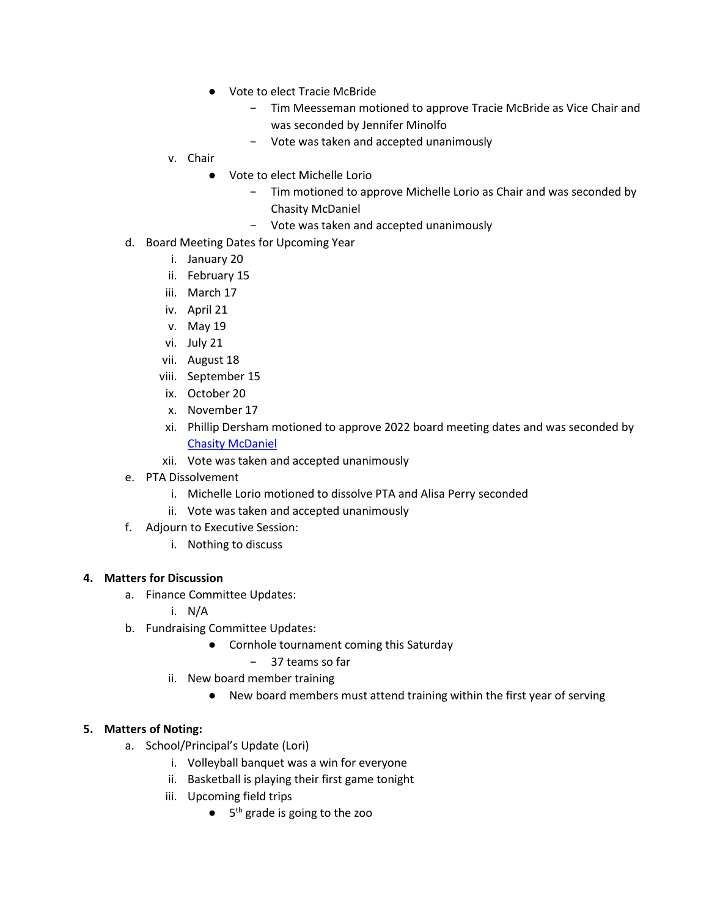- Vote to elect Tracie McBride
	- − Tim Meesseman motioned to approve Tracie McBride as Vice Chair and was seconded by Jennifer Minolfo
	- − Vote was taken and accepted unanimously
- v. Chair
	- Vote to elect Michelle Lorio
		- − Tim motioned to approve Michelle Lorio as Chair and was seconded by Chasity McDaniel
		- − Vote was taken and accepted unanimously
- d. Board Meeting Dates for Upcoming Year
	- i. January 20
	- ii. February 15
	- iii. March 17
	- iv. April 21
	- v. May 19
	- vi. July 21
	- vii. August 18
	- viii. September 15
	- ix. October 20
	- x. November 17
	- xi. Phillip Dersham motioned to approve 2022 board meeting dates and was seconded by [Chasity McDaniel](mailto:cmcdaniel@tallpinesacademy.com)
	- xii. Vote was taken and accepted unanimously
- e. PTA Dissolvement
	- i. Michelle Lorio motioned to dissolve PTA and Alisa Perry seconded
	- ii. Vote was taken and accepted unanimously
- f. Adjourn to Executive Session:
	- i. Nothing to discuss

#### **4. Matters for Discussion**

- a. Finance Committee Updates:
	- i. N/A
- b. Fundraising Committee Updates:
	- Cornhole tournament coming this Saturday
		- − 37 teams so far
	- ii. New board member training
		- New board members must attend training within the first year of serving

#### **5. Matters of Noting:**

- a. School/Principal's Update (Lori)
	- i. Volleyball banquet was a win for everyone
	- ii. Basketball is playing their first game tonight
	- iii. Upcoming field trips
		- $\bullet$  5<sup>th</sup> grade is going to the zoo